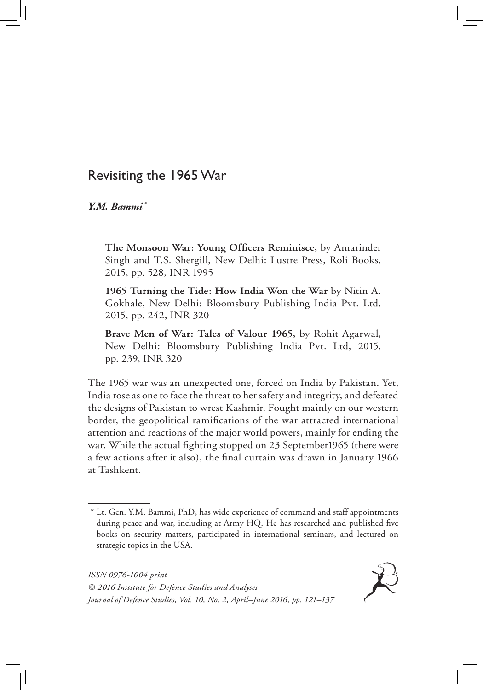# Revisiting the 1965 War

# *Y.M. Bammi \**

**The Monsoon War: Young Officers Reminisce,** by Amarinder Singh and T.S. Shergill, New Delhi: Lustre Press, Roli Books, 2015, pp. 528, INR 1995

**1965 Turning the Tide: How India Won the War** by Nitin A. Gokhale, New Delhi: Bloomsbury Publishing India Pvt. Ltd, 2015, pp. 242, INR 320

**Brave Men of War: Tales of Valour 1965,** by Rohit Agarwal, New Delhi: Bloomsbury Publishing India Pvt. Ltd, 2015, pp. 239, INR 320

The 1965 war was an unexpected one, forced on India by Pakistan. Yet, India rose as one to face the threat to her safety and integrity, and defeated the designs of Pakistan to wrest Kashmir. Fought mainly on our western border, the geopolitical ramifications of the war attracted international attention and reactions of the major world powers, mainly for ending the war. While the actual fighting stopped on 23 September1965 (there were a few actions after it also), the final curtain was drawn in January 1966 at Tashkent.

*ISSN 0976-1004 print © 2016 Institute for Defence Studies and Analyses Journal of Defence Studies, Vol. 10, No. 2, April–June 2016, pp. 121–137*



<sup>\*</sup> Lt. Gen. Y.M. Bammi, PhD, has wide experience of command and staff appointments during peace and war, including at Army HQ. He has researched and published five books on security matters, participated in international seminars, and lectured on strategic topics in the USA.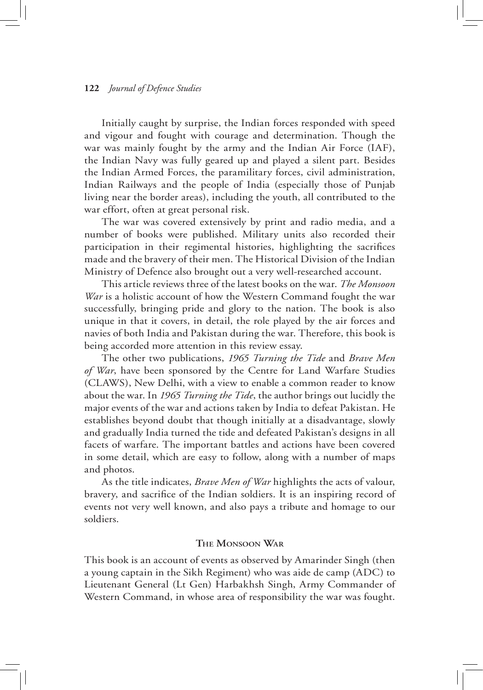Initially caught by surprise, the Indian forces responded with speed and vigour and fought with courage and determination. Though the war was mainly fought by the army and the Indian Air Force (IAF), the Indian Navy was fully geared up and played a silent part. Besides the Indian Armed Forces, the paramilitary forces, civil administration, Indian Railways and the people of India (especially those of Punjab living near the border areas), including the youth, all contributed to the war effort, often at great personal risk.

The war was covered extensively by print and radio media, and a number of books were published. Military units also recorded their participation in their regimental histories, highlighting the sacrifices made and the bravery of their men. The Historical Division of the Indian Ministry of Defence also brought out a very well-researched account.

This article reviews three of the latest books on the war. *The Monsoon War* is a holistic account of how the Western Command fought the war successfully, bringing pride and glory to the nation. The book is also unique in that it covers, in detail, the role played by the air forces and navies of both India and Pakistan during the war. Therefore, this book is being accorded more attention in this review essay.

The other two publications, *1965 Turning the Tide* and *Brave Men of War*, have been sponsored by the Centre for Land Warfare Studies (CLAWS), New Delhi, with a view to enable a common reader to know about the war. In *1965 Turning the Tide*, the author brings out lucidly the major events of the war and actions taken by India to defeat Pakistan. He establishes beyond doubt that though initially at a disadvantage, slowly and gradually India turned the tide and defeated Pakistan's designs in all facets of warfare. The important battles and actions have been covered in some detail, which are easy to follow, along with a number of maps and photos.

As the title indicates, *Brave Men of War* highlights the acts of valour, bravery, and sacrifice of the Indian soldiers. It is an inspiring record of events not very well known, and also pays a tribute and homage to our soldiers.

## **The Monsoon War**

This book is an account of events as observed by Amarinder Singh (then a young captain in the Sikh Regiment) who was aide de camp (ADC) to Lieutenant General (Lt Gen) Harbakhsh Singh, Army Commander of Western Command, in whose area of responsibility the war was fought.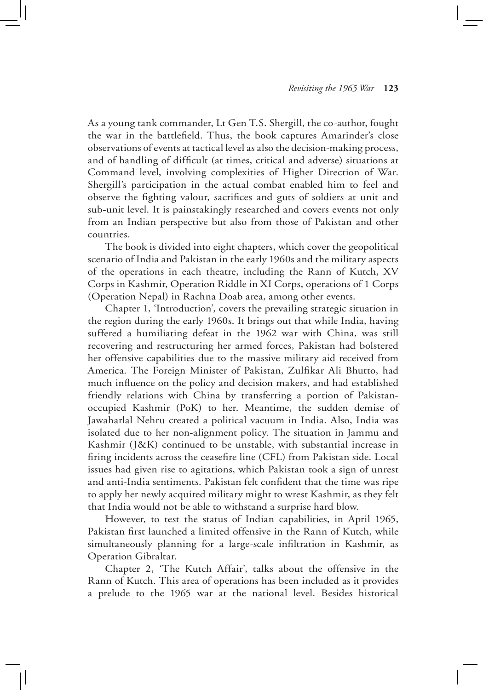As a young tank commander, Lt Gen T.S. Shergill, the co-author, fought the war in the battlefield. Thus, the book captures Amarinder's close observations of events at tactical level as also the decision-making process, and of handling of difficult (at times, critical and adverse) situations at Command level, involving complexities of Higher Direction of War. Shergill's participation in the actual combat enabled him to feel and observe the fighting valour, sacrifices and guts of soldiers at unit and sub-unit level. It is painstakingly researched and covers events not only from an Indian perspective but also from those of Pakistan and other countries.

The book is divided into eight chapters, which cover the geopolitical scenario of India and Pakistan in the early 1960s and the military aspects of the operations in each theatre, including the Rann of Kutch, XV Corps in Kashmir, Operation Riddle in XI Corps, operations of 1 Corps (Operation Nepal) in Rachna Doab area, among other events.

Chapter 1, 'Introduction', covers the prevailing strategic situation in the region during the early 1960s. It brings out that while India, having suffered a humiliating defeat in the 1962 war with China, was still recovering and restructuring her armed forces, Pakistan had bolstered her offensive capabilities due to the massive military aid received from America. The Foreign Minister of Pakistan, Zulfikar Ali Bhutto, had much influence on the policy and decision makers, and had established friendly relations with China by transferring a portion of Pakistanoccupied Kashmir (PoK) to her. Meantime, the sudden demise of Jawaharlal Nehru created a political vacuum in India. Also, India was isolated due to her non-alignment policy. The situation in Jammu and Kashmir (J&K) continued to be unstable, with substantial increase in firing incidents across the ceasefire line (CFL) from Pakistan side. Local issues had given rise to agitations, which Pakistan took a sign of unrest and anti-India sentiments. Pakistan felt confident that the time was ripe to apply her newly acquired military might to wrest Kashmir, as they felt that India would not be able to withstand a surprise hard blow.

However, to test the status of Indian capabilities, in April 1965, Pakistan first launched a limited offensive in the Rann of Kutch, while simultaneously planning for a large-scale infiltration in Kashmir, as Operation Gibraltar.

Chapter 2, 'The Kutch Affair', talks about the offensive in the Rann of Kutch. This area of operations has been included as it provides a prelude to the 1965 war at the national level. Besides historical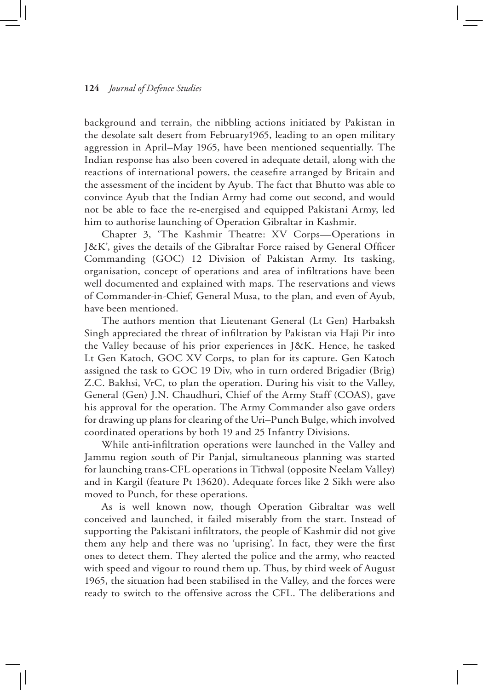background and terrain, the nibbling actions initiated by Pakistan in the desolate salt desert from February1965, leading to an open military aggression in April–May 1965, have been mentioned sequentially. The Indian response has also been covered in adequate detail, along with the reactions of international powers, the ceasefire arranged by Britain and the assessment of the incident by Ayub. The fact that Bhutto was able to convince Ayub that the Indian Army had come out second, and would not be able to face the re-energised and equipped Pakistani Army, led him to authorise launching of Operation Gibraltar in Kashmir.

Chapter 3, 'The Kashmir Theatre: XV Corps—Operations in J&K', gives the details of the Gibraltar Force raised by General Officer Commanding (GOC) 12 Division of Pakistan Army. Its tasking, organisation, concept of operations and area of infiltrations have been well documented and explained with maps. The reservations and views of Commander-in-Chief, General Musa, to the plan, and even of Ayub, have been mentioned.

The authors mention that Lieutenant General (Lt Gen) Harbaksh Singh appreciated the threat of infiltration by Pakistan via Haji Pir into the Valley because of his prior experiences in J&K. Hence, he tasked Lt Gen Katoch, GOC XV Corps, to plan for its capture. Gen Katoch assigned the task to GOC 19 Div, who in turn ordered Brigadier (Brig) Z.C. Bakhsi, VrC, to plan the operation. During his visit to the Valley, General (Gen) J.N. Chaudhuri, Chief of the Army Staff (COAS), gave his approval for the operation. The Army Commander also gave orders for drawing up plans for clearing of the Uri–Punch Bulge, which involved coordinated operations by both 19 and 25 Infantry Divisions.

While anti-infiltration operations were launched in the Valley and Jammu region south of Pir Panjal, simultaneous planning was started for launching trans-CFL operations in Tithwal (opposite Neelam Valley) and in Kargil (feature Pt 13620). Adequate forces like 2 Sikh were also moved to Punch, for these operations.

As is well known now, though Operation Gibraltar was well conceived and launched, it failed miserably from the start. Instead of supporting the Pakistani infiltrators, the people of Kashmir did not give them any help and there was no 'uprising'. In fact, they were the first ones to detect them. They alerted the police and the army, who reacted with speed and vigour to round them up. Thus, by third week of August 1965, the situation had been stabilised in the Valley, and the forces were ready to switch to the offensive across the CFL. The deliberations and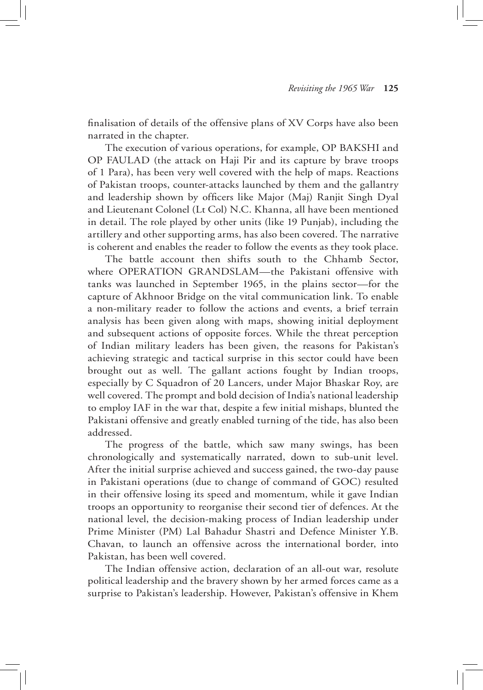finalisation of details of the offensive plans of XV Corps have also been narrated in the chapter.

The execution of various operations, for example, OP BAKSHI and OP FAULAD (the attack on Haji Pir and its capture by brave troops of 1 Para), has been very well covered with the help of maps. Reactions of Pakistan troops, counter-attacks launched by them and the gallantry and leadership shown by officers like Major (Maj) Ranjit Singh Dyal and Lieutenant Colonel (Lt Col) N.C. Khanna, all have been mentioned in detail. The role played by other units (like 19 Punjab), including the artillery and other supporting arms, has also been covered. The narrative is coherent and enables the reader to follow the events as they took place.

The battle account then shifts south to the Chhamb Sector, where OPERATION GRANDSLAM—the Pakistani offensive with tanks was launched in September 1965, in the plains sector—for the capture of Akhnoor Bridge on the vital communication link. To enable a non-military reader to follow the actions and events, a brief terrain analysis has been given along with maps, showing initial deployment and subsequent actions of opposite forces. While the threat perception of Indian military leaders has been given, the reasons for Pakistan's achieving strategic and tactical surprise in this sector could have been brought out as well. The gallant actions fought by Indian troops, especially by C Squadron of 20 Lancers, under Major Bhaskar Roy, are well covered. The prompt and bold decision of India's national leadership to employ IAF in the war that, despite a few initial mishaps, blunted the Pakistani offensive and greatly enabled turning of the tide, has also been addressed.

The progress of the battle, which saw many swings, has been chronologically and systematically narrated, down to sub-unit level. After the initial surprise achieved and success gained, the two-day pause in Pakistani operations (due to change of command of GOC) resulted in their offensive losing its speed and momentum, while it gave Indian troops an opportunity to reorganise their second tier of defences. At the national level, the decision-making process of Indian leadership under Prime Minister (PM) Lal Bahadur Shastri and Defence Minister Y.B. Chavan, to launch an offensive across the international border, into Pakistan, has been well covered.

The Indian offensive action, declaration of an all-out war, resolute political leadership and the bravery shown by her armed forces came as a surprise to Pakistan's leadership. However, Pakistan's offensive in Khem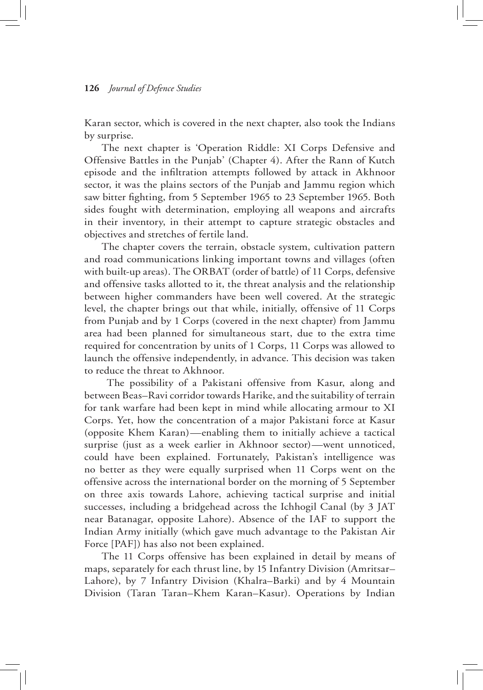Karan sector, which is covered in the next chapter, also took the Indians by surprise.

The next chapter is 'Operation Riddle: XI Corps Defensive and Offensive Battles in the Punjab' (Chapter 4). After the Rann of Kutch episode and the infiltration attempts followed by attack in Akhnoor sector, it was the plains sectors of the Punjab and Jammu region which saw bitter fighting, from 5 September 1965 to 23 September 1965. Both sides fought with determination, employing all weapons and aircrafts in their inventory, in their attempt to capture strategic obstacles and objectives and stretches of fertile land.

The chapter covers the terrain, obstacle system, cultivation pattern and road communications linking important towns and villages (often with built-up areas). The ORBAT (order of battle) of 11 Corps, defensive and offensive tasks allotted to it, the threat analysis and the relationship between higher commanders have been well covered. At the strategic level, the chapter brings out that while, initially, offensive of 11 Corps from Punjab and by 1 Corps (covered in the next chapter) from Jammu area had been planned for simultaneous start, due to the extra time required for concentration by units of 1 Corps, 11 Corps was allowed to launch the offensive independently, in advance. This decision was taken to reduce the threat to Akhnoor.

 The possibility of a Pakistani offensive from Kasur, along and between Beas–Ravi corridor towards Harike, and the suitability of terrain for tank warfare had been kept in mind while allocating armour to XI Corps. Yet, how the concentration of a major Pakistani force at Kasur (opposite Khem Karan)—enabling them to initially achieve a tactical surprise (just as a week earlier in Akhnoor sector)—went unnoticed, could have been explained. Fortunately, Pakistan's intelligence was no better as they were equally surprised when 11 Corps went on the offensive across the international border on the morning of 5 September on three axis towards Lahore, achieving tactical surprise and initial successes, including a bridgehead across the Ichhogil Canal (by 3 JAT near Batanagar, opposite Lahore). Absence of the IAF to support the Indian Army initially (which gave much advantage to the Pakistan Air Force [PAF]) has also not been explained.

The 11 Corps offensive has been explained in detail by means of maps, separately for each thrust line, by 15 Infantry Division (Amritsar– Lahore), by 7 Infantry Division (Khalra–Barki) and by 4 Mountain Division (Taran Taran–Khem Karan–Kasur). Operations by Indian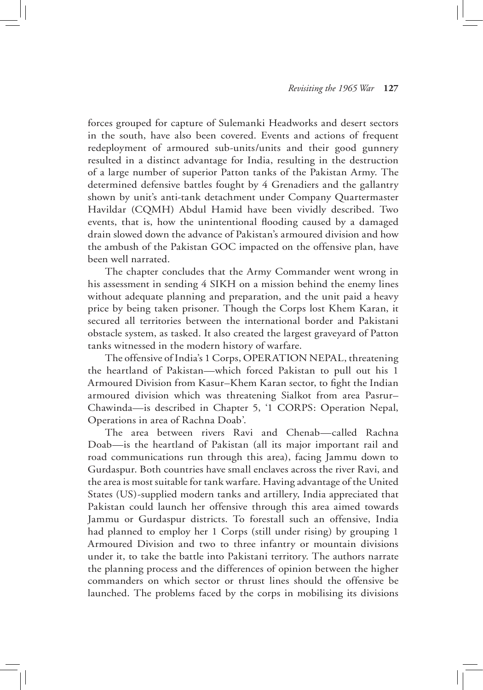forces grouped for capture of Sulemanki Headworks and desert sectors in the south, have also been covered. Events and actions of frequent redeployment of armoured sub-units/units and their good gunnery resulted in a distinct advantage for India, resulting in the destruction of a large number of superior Patton tanks of the Pakistan Army. The determined defensive battles fought by 4 Grenadiers and the gallantry shown by unit's anti-tank detachment under Company Quartermaster Havildar (CQMH) Abdul Hamid have been vividly described. Two events, that is, how the unintentional flooding caused by a damaged drain slowed down the advance of Pakistan's armoured division and how the ambush of the Pakistan GOC impacted on the offensive plan, have been well narrated.

The chapter concludes that the Army Commander went wrong in his assessment in sending 4 SIKH on a mission behind the enemy lines without adequate planning and preparation, and the unit paid a heavy price by being taken prisoner. Though the Corps lost Khem Karan, it secured all territories between the international border and Pakistani obstacle system, as tasked. It also created the largest graveyard of Patton tanks witnessed in the modern history of warfare.

The offensive of India's 1 Corps, OPERATION NEPAL, threatening the heartland of Pakistan—which forced Pakistan to pull out his 1 Armoured Division from Kasur–Khem Karan sector, to fight the Indian armoured division which was threatening Sialkot from area Pasrur– Chawinda—is described in Chapter 5, '1 CORPS: Operation Nepal, Operations in area of Rachna Doab'.

The area between rivers Ravi and Chenab—called Rachna Doab—is the heartland of Pakistan (all its major important rail and road communications run through this area), facing Jammu down to Gurdaspur. Both countries have small enclaves across the river Ravi, and the area is most suitable for tank warfare. Having advantage of the United States (US)-supplied modern tanks and artillery, India appreciated that Pakistan could launch her offensive through this area aimed towards Jammu or Gurdaspur districts. To forestall such an offensive, India had planned to employ her 1 Corps (still under rising) by grouping 1 Armoured Division and two to three infantry or mountain divisions under it, to take the battle into Pakistani territory. The authors narrate the planning process and the differences of opinion between the higher commanders on which sector or thrust lines should the offensive be launched. The problems faced by the corps in mobilising its divisions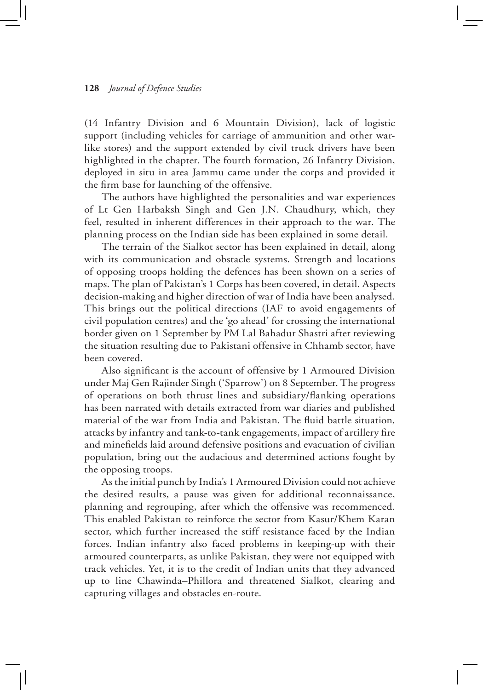(14 Infantry Division and 6 Mountain Division), lack of logistic support (including vehicles for carriage of ammunition and other warlike stores) and the support extended by civil truck drivers have been highlighted in the chapter. The fourth formation, 26 Infantry Division, deployed in situ in area Jammu came under the corps and provided it the firm base for launching of the offensive.

The authors have highlighted the personalities and war experiences of Lt Gen Harbaksh Singh and Gen J.N. Chaudhury, which, they feel, resulted in inherent differences in their approach to the war. The planning process on the Indian side has been explained in some detail.

The terrain of the Sialkot sector has been explained in detail, along with its communication and obstacle systems. Strength and locations of opposing troops holding the defences has been shown on a series of maps. The plan of Pakistan's 1 Corps has been covered, in detail. Aspects decision-making and higher direction of war of India have been analysed. This brings out the political directions (IAF to avoid engagements of civil population centres) and the 'go ahead' for crossing the international border given on 1 September by PM Lal Bahadur Shastri after reviewing the situation resulting due to Pakistani offensive in Chhamb sector, have been covered.

Also significant is the account of offensive by 1 Armoured Division under Maj Gen Rajinder Singh ('Sparrow') on 8 September. The progress of operations on both thrust lines and subsidiary/flanking operations has been narrated with details extracted from war diaries and published material of the war from India and Pakistan. The fluid battle situation, attacks by infantry and tank-to-tank engagements, impact of artillery fire and minefields laid around defensive positions and evacuation of civilian population, bring out the audacious and determined actions fought by the opposing troops.

As the initial punch by India's 1 Armoured Division could not achieve the desired results, a pause was given for additional reconnaissance, planning and regrouping, after which the offensive was recommenced. This enabled Pakistan to reinforce the sector from Kasur/Khem Karan sector, which further increased the stiff resistance faced by the Indian forces. Indian infantry also faced problems in keeping-up with their armoured counterparts, as unlike Pakistan, they were not equipped with track vehicles. Yet, it is to the credit of Indian units that they advanced up to line Chawinda–Phillora and threatened Sialkot, clearing and capturing villages and obstacles en-route.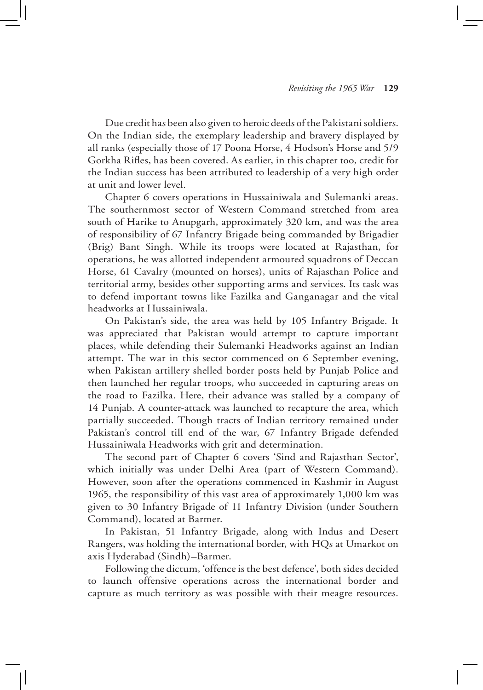Due credit has been also given to heroic deeds of the Pakistani soldiers. On the Indian side, the exemplary leadership and bravery displayed by all ranks (especially those of 17 Poona Horse, 4 Hodson's Horse and 5/9 Gorkha Rifles, has been covered. As earlier, in this chapter too, credit for the Indian success has been attributed to leadership of a very high order at unit and lower level.

Chapter 6 covers operations in Hussainiwala and Sulemanki areas. The southernmost sector of Western Command stretched from area south of Harike to Anupgarh, approximately 320 km, and was the area of responsibility of 67 Infantry Brigade being commanded by Brigadier (Brig) Bant Singh. While its troops were located at Rajasthan, for operations, he was allotted independent armoured squadrons of Deccan Horse, 61 Cavalry (mounted on horses), units of Rajasthan Police and territorial army, besides other supporting arms and services. Its task was to defend important towns like Fazilka and Ganganagar and the vital headworks at Hussainiwala.

On Pakistan's side, the area was held by 105 Infantry Brigade. It was appreciated that Pakistan would attempt to capture important places, while defending their Sulemanki Headworks against an Indian attempt. The war in this sector commenced on 6 September evening, when Pakistan artillery shelled border posts held by Punjab Police and then launched her regular troops, who succeeded in capturing areas on the road to Fazilka. Here, their advance was stalled by a company of 14 Punjab. A counter-attack was launched to recapture the area, which partially succeeded. Though tracts of Indian territory remained under Pakistan's control till end of the war, 67 Infantry Brigade defended Hussainiwala Headworks with grit and determination.

The second part of Chapter 6 covers 'Sind and Rajasthan Sector', which initially was under Delhi Area (part of Western Command). However, soon after the operations commenced in Kashmir in August 1965, the responsibility of this vast area of approximately 1,000 km was given to 30 Infantry Brigade of 11 Infantry Division (under Southern Command), located at Barmer.

In Pakistan, 51 Infantry Brigade, along with Indus and Desert Rangers, was holding the international border, with HQs at Umarkot on axis Hyderabad (Sindh)–Barmer.

Following the dictum, 'offence is the best defence', both sides decided to launch offensive operations across the international border and capture as much territory as was possible with their meagre resources.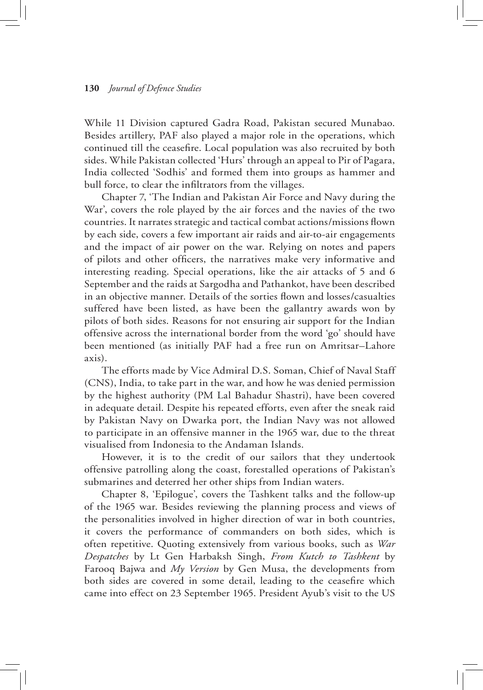While 11 Division captured Gadra Road, Pakistan secured Munabao. Besides artillery, PAF also played a major role in the operations, which continued till the ceasefire. Local population was also recruited by both sides. While Pakistan collected 'Hurs' through an appeal to Pir of Pagara, India collected 'Sodhis' and formed them into groups as hammer and bull force, to clear the infiltrators from the villages.

Chapter 7, 'The Indian and Pakistan Air Force and Navy during the War', covers the role played by the air forces and the navies of the two countries. It narrates strategic and tactical combat actions/missions flown by each side, covers a few important air raids and air-to-air engagements and the impact of air power on the war. Relying on notes and papers of pilots and other officers, the narratives make very informative and interesting reading. Special operations, like the air attacks of 5 and 6 September and the raids at Sargodha and Pathankot, have been described in an objective manner. Details of the sorties flown and losses/casualties suffered have been listed, as have been the gallantry awards won by pilots of both sides. Reasons for not ensuring air support for the Indian offensive across the international border from the word 'go' should have been mentioned (as initially PAF had a free run on Amritsar–Lahore axis).

The efforts made by Vice Admiral D.S. Soman, Chief of Naval Staff (CNS), India, to take part in the war, and how he was denied permission by the highest authority (PM Lal Bahadur Shastri), have been covered in adequate detail. Despite his repeated efforts, even after the sneak raid by Pakistan Navy on Dwarka port, the Indian Navy was not allowed to participate in an offensive manner in the 1965 war, due to the threat visualised from Indonesia to the Andaman Islands.

However, it is to the credit of our sailors that they undertook offensive patrolling along the coast, forestalled operations of Pakistan's submarines and deterred her other ships from Indian waters.

Chapter 8, 'Epilogue', covers the Tashkent talks and the follow-up of the 1965 war. Besides reviewing the planning process and views of the personalities involved in higher direction of war in both countries, it covers the performance of commanders on both sides, which is often repetitive. Quoting extensively from various books, such as *War Despatches* by Lt Gen Harbaksh Singh, *From Kutch to Tashkent* by Farooq Bajwa and *My Version* by Gen Musa, the developments from both sides are covered in some detail, leading to the ceasefire which came into effect on 23 September 1965. President Ayub's visit to the US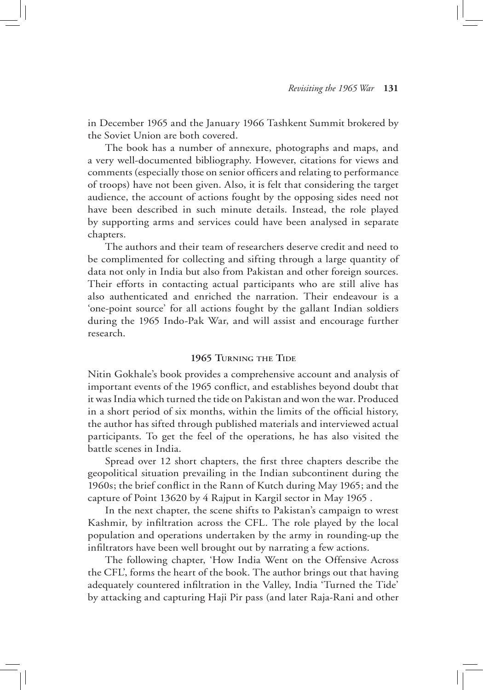in December 1965 and the January 1966 Tashkent Summit brokered by the Soviet Union are both covered.

The book has a number of annexure, photographs and maps, and a very well-documented bibliography. However, citations for views and comments (especially those on senior officers and relating to performance of troops) have not been given. Also, it is felt that considering the target audience, the account of actions fought by the opposing sides need not have been described in such minute details. Instead, the role played by supporting arms and services could have been analysed in separate chapters.

The authors and their team of researchers deserve credit and need to be complimented for collecting and sifting through a large quantity of data not only in India but also from Pakistan and other foreign sources. Their efforts in contacting actual participants who are still alive has also authenticated and enriched the narration. Their endeavour is a 'one-point source' for all actions fought by the gallant Indian soldiers during the 1965 Indo-Pak War, and will assist and encourage further research.

## **1965 Turning the Tide**

Nitin Gokhale's book provides a comprehensive account and analysis of important events of the 1965 conflict, and establishes beyond doubt that it was India which turned the tide on Pakistan and won the war. Produced in a short period of six months, within the limits of the official history, the author has sifted through published materials and interviewed actual participants. To get the feel of the operations, he has also visited the battle scenes in India.

Spread over 12 short chapters, the first three chapters describe the geopolitical situation prevailing in the Indian subcontinent during the 1960s; the brief conflict in the Rann of Kutch during May 1965; and the capture of Point 13620 by 4 Rajput in Kargil sector in May 1965 .

In the next chapter, the scene shifts to Pakistan's campaign to wrest Kashmir, by infiltration across the CFL. The role played by the local population and operations undertaken by the army in rounding-up the infiltrators have been well brought out by narrating a few actions.

The following chapter, 'How India Went on the Offensive Across the CFL', forms the heart of the book. The author brings out that having adequately countered infiltration in the Valley, India 'Turned the Tide' by attacking and capturing Haji Pir pass (and later Raja-Rani and other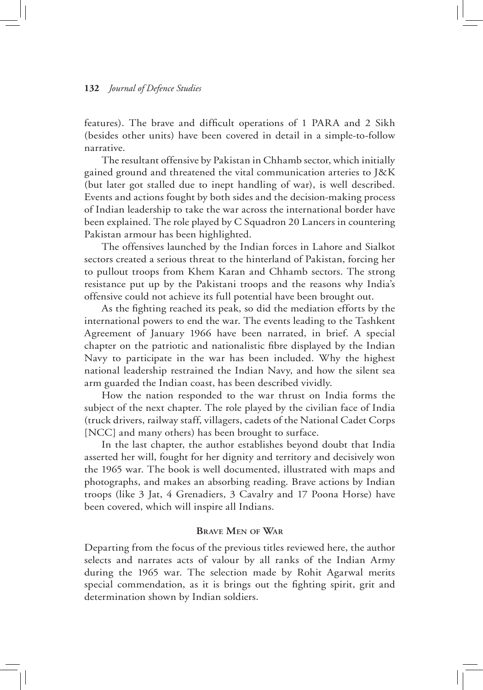features). The brave and difficult operations of 1 PARA and 2 Sikh (besides other units) have been covered in detail in a simple-to-follow narrative.

The resultant offensive by Pakistan in Chhamb sector, which initially gained ground and threatened the vital communication arteries to J&K (but later got stalled due to inept handling of war), is well described. Events and actions fought by both sides and the decision-making process of Indian leadership to take the war across the international border have been explained. The role played by C Squadron 20 Lancers in countering Pakistan armour has been highlighted.

The offensives launched by the Indian forces in Lahore and Sialkot sectors created a serious threat to the hinterland of Pakistan, forcing her to pullout troops from Khem Karan and Chhamb sectors. The strong resistance put up by the Pakistani troops and the reasons why India's offensive could not achieve its full potential have been brought out.

As the fighting reached its peak, so did the mediation efforts by the international powers to end the war. The events leading to the Tashkent Agreement of January 1966 have been narrated, in brief. A special chapter on the patriotic and nationalistic fibre displayed by the Indian Navy to participate in the war has been included. Why the highest national leadership restrained the Indian Navy, and how the silent sea arm guarded the Indian coast, has been described vividly.

How the nation responded to the war thrust on India forms the subject of the next chapter. The role played by the civilian face of India (truck drivers, railway staff, villagers, cadets of the National Cadet Corps [NCC] and many others) has been brought to surface.

In the last chapter, the author establishes beyond doubt that India asserted her will, fought for her dignity and territory and decisively won the 1965 war. The book is well documented, illustrated with maps and photographs, and makes an absorbing reading. Brave actions by Indian troops (like 3 Jat, 4 Grenadiers, 3 Cavalry and 17 Poona Horse) have been covered, which will inspire all Indians.

## **Brave Men of War**

Departing from the focus of the previous titles reviewed here, the author selects and narrates acts of valour by all ranks of the Indian Army during the 1965 war. The selection made by Rohit Agarwal merits special commendation, as it is brings out the fighting spirit, grit and determination shown by Indian soldiers.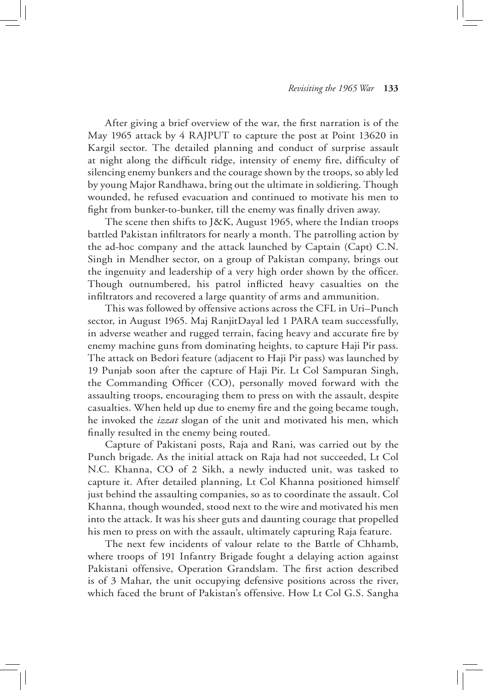After giving a brief overview of the war, the first narration is of the May 1965 attack by 4 RAJPUT to capture the post at Point 13620 in Kargil sector. The detailed planning and conduct of surprise assault at night along the difficult ridge, intensity of enemy fire, difficulty of silencing enemy bunkers and the courage shown by the troops, so ably led by young Major Randhawa, bring out the ultimate in soldiering. Though wounded, he refused evacuation and continued to motivate his men to fight from bunker-to-bunker, till the enemy was finally driven away.

The scene then shifts to J&K, August 1965, where the Indian troops battled Pakistan infiltrators for nearly a month. The patrolling action by the ad-hoc company and the attack launched by Captain (Capt) C.N. Singh in Mendher sector, on a group of Pakistan company, brings out the ingenuity and leadership of a very high order shown by the officer. Though outnumbered, his patrol inflicted heavy casualties on the infiltrators and recovered a large quantity of arms and ammunition.

This was followed by offensive actions across the CFL in Uri–Punch sector, in August 1965. Maj RanjitDayal led 1 PARA team successfully, in adverse weather and rugged terrain, facing heavy and accurate fire by enemy machine guns from dominating heights, to capture Haji Pir pass. The attack on Bedori feature (adjacent to Haji Pir pass) was launched by 19 Punjab soon after the capture of Haji Pir. Lt Col Sampuran Singh, the Commanding Officer (CO), personally moved forward with the assaulting troops, encouraging them to press on with the assault, despite casualties. When held up due to enemy fire and the going became tough, he invoked the *izzat* slogan of the unit and motivated his men, which finally resulted in the enemy being routed.

Capture of Pakistani posts, Raja and Rani, was carried out by the Punch brigade. As the initial attack on Raja had not succeeded, Lt Col N.C. Khanna, CO of 2 Sikh, a newly inducted unit, was tasked to capture it. After detailed planning, Lt Col Khanna positioned himself just behind the assaulting companies, so as to coordinate the assault. Col Khanna, though wounded, stood next to the wire and motivated his men into the attack. It was his sheer guts and daunting courage that propelled his men to press on with the assault, ultimately capturing Raja feature.

The next few incidents of valour relate to the Battle of Chhamb, where troops of 191 Infantry Brigade fought a delaying action against Pakistani offensive, Operation Grandslam. The first action described is of 3 Mahar, the unit occupying defensive positions across the river, which faced the brunt of Pakistan's offensive. How Lt Col G.S. Sangha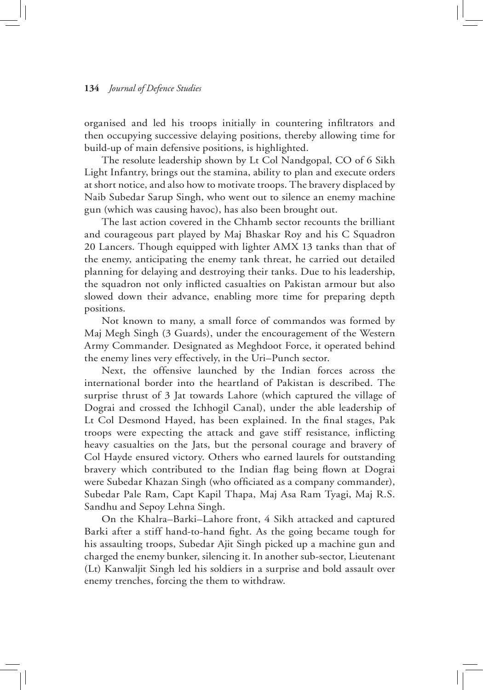organised and led his troops initially in countering infiltrators and then occupying successive delaying positions, thereby allowing time for build-up of main defensive positions, is highlighted.

The resolute leadership shown by Lt Col Nandgopal, CO of 6 Sikh Light Infantry, brings out the stamina, ability to plan and execute orders at short notice, and also how to motivate troops. The bravery displaced by Naib Subedar Sarup Singh, who went out to silence an enemy machine gun (which was causing havoc), has also been brought out.

The last action covered in the Chhamb sector recounts the brilliant and courageous part played by Maj Bhaskar Roy and his C Squadron 20 Lancers. Though equipped with lighter AMX 13 tanks than that of the enemy, anticipating the enemy tank threat, he carried out detailed planning for delaying and destroying their tanks. Due to his leadership, the squadron not only inflicted casualties on Pakistan armour but also slowed down their advance, enabling more time for preparing depth positions.

Not known to many, a small force of commandos was formed by Maj Megh Singh (3 Guards), under the encouragement of the Western Army Commander. Designated as Meghdoot Force, it operated behind the enemy lines very effectively, in the Uri–Punch sector.

Next, the offensive launched by the Indian forces across the international border into the heartland of Pakistan is described. The surprise thrust of 3 Jat towards Lahore (which captured the village of Dograi and crossed the Ichhogil Canal), under the able leadership of Lt Col Desmond Hayed, has been explained. In the final stages, Pak troops were expecting the attack and gave stiff resistance, inflicting heavy casualties on the Jats, but the personal courage and bravery of Col Hayde ensured victory. Others who earned laurels for outstanding bravery which contributed to the Indian flag being flown at Dograi were Subedar Khazan Singh (who officiated as a company commander), Subedar Pale Ram, Capt Kapil Thapa, Maj Asa Ram Tyagi, Maj R.S. Sandhu and Sepoy Lehna Singh.

On the Khalra–Barki–Lahore front, 4 Sikh attacked and captured Barki after a stiff hand-to-hand fight. As the going became tough for his assaulting troops, Subedar Ajit Singh picked up a machine gun and charged the enemy bunker, silencing it. In another sub-sector, Lieutenant (Lt) Kanwaljit Singh led his soldiers in a surprise and bold assault over enemy trenches, forcing the them to withdraw.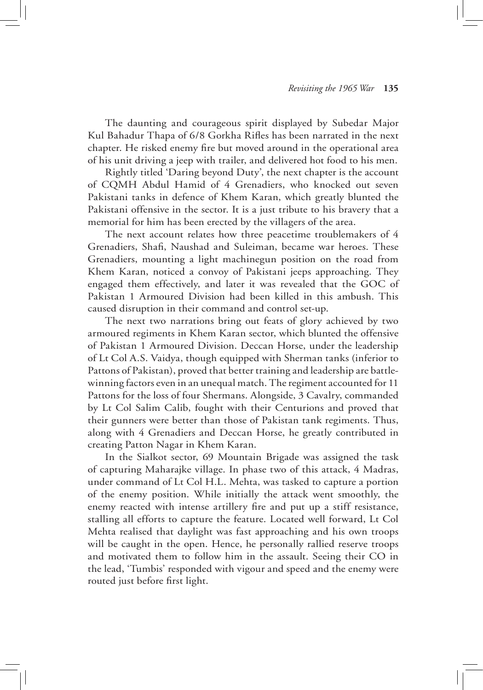The daunting and courageous spirit displayed by Subedar Major Kul Bahadur Thapa of 6/8 Gorkha Rifles has been narrated in the next chapter. He risked enemy fire but moved around in the operational area of his unit driving a jeep with trailer, and delivered hot food to his men.

Rightly titled 'Daring beyond Duty', the next chapter is the account of CQMH Abdul Hamid of 4 Grenadiers, who knocked out seven Pakistani tanks in defence of Khem Karan, which greatly blunted the Pakistani offensive in the sector. It is a just tribute to his bravery that a memorial for him has been erected by the villagers of the area.

The next account relates how three peacetime troublemakers of 4 Grenadiers, Shafi, Naushad and Suleiman, became war heroes. These Grenadiers, mounting a light machinegun position on the road from Khem Karan, noticed a convoy of Pakistani jeeps approaching. They engaged them effectively, and later it was revealed that the GOC of Pakistan 1 Armoured Division had been killed in this ambush. This caused disruption in their command and control set-up.

The next two narrations bring out feats of glory achieved by two armoured regiments in Khem Karan sector, which blunted the offensive of Pakistan 1 Armoured Division. Deccan Horse, under the leadership of Lt Col A.S. Vaidya, though equipped with Sherman tanks (inferior to Pattons of Pakistan), proved that better training and leadership are battlewinning factors even in an unequal match. The regiment accounted for 11 Pattons for the loss of four Shermans. Alongside, 3 Cavalry, commanded by Lt Col Salim Calib, fought with their Centurions and proved that their gunners were better than those of Pakistan tank regiments. Thus, along with 4 Grenadiers and Deccan Horse, he greatly contributed in creating Patton Nagar in Khem Karan.

In the Sialkot sector, 69 Mountain Brigade was assigned the task of capturing Maharajke village. In phase two of this attack, 4 Madras, under command of Lt Col H.L. Mehta, was tasked to capture a portion of the enemy position. While initially the attack went smoothly, the enemy reacted with intense artillery fire and put up a stiff resistance, stalling all efforts to capture the feature. Located well forward, Lt Col Mehta realised that daylight was fast approaching and his own troops will be caught in the open. Hence, he personally rallied reserve troops and motivated them to follow him in the assault. Seeing their CO in the lead, 'Tumbis' responded with vigour and speed and the enemy were routed just before first light.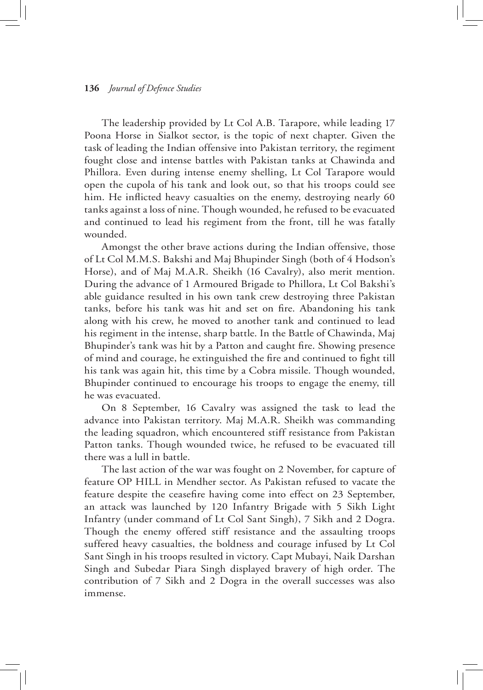The leadership provided by Lt Col A.B. Tarapore, while leading 17 Poona Horse in Sialkot sector, is the topic of next chapter. Given the task of leading the Indian offensive into Pakistan territory, the regiment fought close and intense battles with Pakistan tanks at Chawinda and Phillora. Even during intense enemy shelling, Lt Col Tarapore would open the cupola of his tank and look out, so that his troops could see him. He inflicted heavy casualties on the enemy, destroying nearly 60 tanks against a loss of nine. Though wounded, he refused to be evacuated and continued to lead his regiment from the front, till he was fatally wounded.

Amongst the other brave actions during the Indian offensive, those of Lt Col M.M.S. Bakshi and Maj Bhupinder Singh (both of 4 Hodson's Horse), and of Maj M.A.R. Sheikh (16 Cavalry), also merit mention. During the advance of 1 Armoured Brigade to Phillora, Lt Col Bakshi's able guidance resulted in his own tank crew destroying three Pakistan tanks, before his tank was hit and set on fire. Abandoning his tank along with his crew, he moved to another tank and continued to lead his regiment in the intense, sharp battle. In the Battle of Chawinda, Maj Bhupinder's tank was hit by a Patton and caught fire. Showing presence of mind and courage, he extinguished the fire and continued to fight till his tank was again hit, this time by a Cobra missile. Though wounded, Bhupinder continued to encourage his troops to engage the enemy, till he was evacuated.

On 8 September, 16 Cavalry was assigned the task to lead the advance into Pakistan territory. Maj M.A.R. Sheikh was commanding the leading squadron, which encountered stiff resistance from Pakistan Patton tanks. Though wounded twice, he refused to be evacuated till there was a lull in battle.

The last action of the war was fought on 2 November, for capture of feature OP HILL in Mendher sector. As Pakistan refused to vacate the feature despite the ceasefire having come into effect on 23 September, an attack was launched by 120 Infantry Brigade with 5 Sikh Light Infantry (under command of Lt Col Sant Singh), 7 Sikh and 2 Dogra. Though the enemy offered stiff resistance and the assaulting troops suffered heavy casualties, the boldness and courage infused by Lt Col Sant Singh in his troops resulted in victory. Capt Mubayi, Naik Darshan Singh and Subedar Piara Singh displayed bravery of high order. The contribution of 7 Sikh and 2 Dogra in the overall successes was also immense.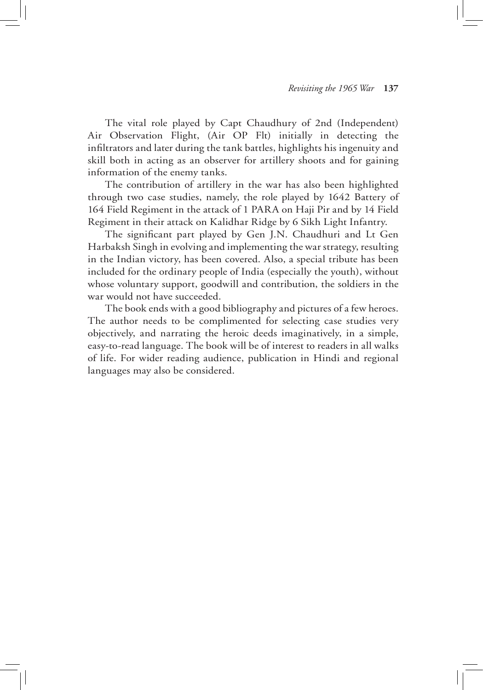The vital role played by Capt Chaudhury of 2nd (Independent) Air Observation Flight, (Air OP Flt) initially in detecting the infiltrators and later during the tank battles, highlights his ingenuity and skill both in acting as an observer for artillery shoots and for gaining information of the enemy tanks.

The contribution of artillery in the war has also been highlighted through two case studies, namely, the role played by 1642 Battery of 164 Field Regiment in the attack of 1 PARA on Haji Pir and by 14 Field Regiment in their attack on Kalidhar Ridge by 6 Sikh Light Infantry.

The significant part played by Gen J.N. Chaudhuri and Lt Gen Harbaksh Singh in evolving and implementing the war strategy, resulting in the Indian victory, has been covered. Also, a special tribute has been included for the ordinary people of India (especially the youth), without whose voluntary support, goodwill and contribution, the soldiers in the war would not have succeeded.

The book ends with a good bibliography and pictures of a few heroes. The author needs to be complimented for selecting case studies very objectively, and narrating the heroic deeds imaginatively, in a simple, easy-to-read language. The book will be of interest to readers in all walks of life. For wider reading audience, publication in Hindi and regional languages may also be considered.